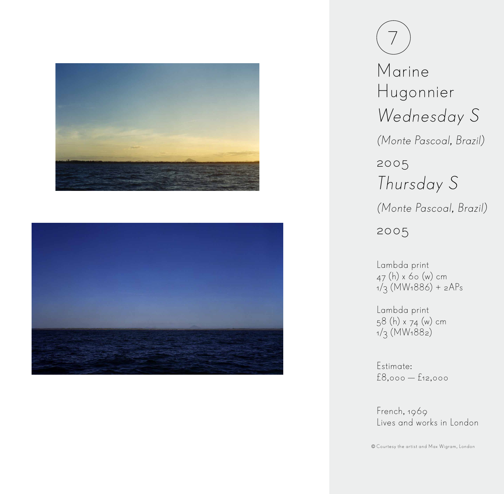



 $\overline{ }$ Marine Hugonnier Wednesday S (Monte Pascoal, Brazil) 2005 Thursday S (Monte Pascoal, Brazil) 2005

Lambda print 47 (h) x 60 (w) cm 1/3 (MW1886) + 2APs

Lambda print 58 (h) x 74 (w) cm  $1/3$  (MW<sub>1</sub>88<sub>2</sub>)

Estimate: £8,000 — £12,000

French, 1969 Lives and works in London

Courtesy the artist and Max Wigram, London